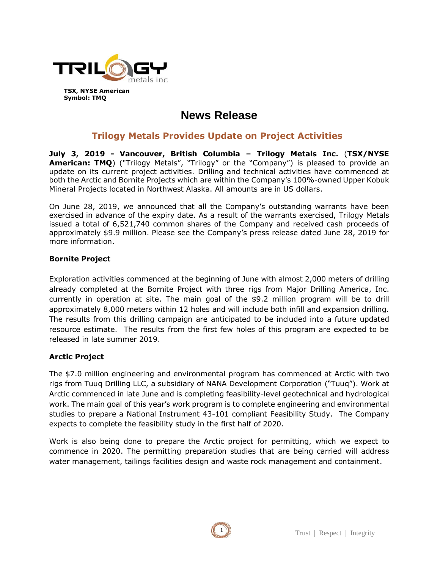

**TSX, NYSE American Symbol: TMQ**

# **News Release**

# **Trilogy Metals Provides Update on Project Activities**

**July 3, 2019 - Vancouver, British Columbia – Trilogy Metals Inc.** (**TSX/NYSE American: TMQ**) ("Trilogy Metals", "Trilogy" or the "Company") is pleased to provide an update on its current project activities. Drilling and technical activities have commenced at both the Arctic and Bornite Projects which are within the Company's 100%-owned Upper Kobuk Mineral Projects located in Northwest Alaska. All amounts are in US dollars.

On June 28, 2019, we announced that all the Company's outstanding warrants have been exercised in advance of the expiry date. As a result of the warrants exercised, Trilogy Metals issued a total of 6,521,740 common shares of the Company and received cash proceeds of approximately \$9.9 million. Please see the Company's press release dated June 28, 2019 for more information.

# **Bornite Project**

Exploration activities commenced at the beginning of June with almost 2,000 meters of drilling already completed at the Bornite Project with three rigs from Major Drilling America, Inc. currently in operation at site. The main goal of the \$9.2 million program will be to drill approximately 8,000 meters within 12 holes and will include both infill and expansion drilling. The results from this drilling campaign are anticipated to be included into a future updated resource estimate. The results from the first few holes of this program are expected to be released in late summer 2019.

### **Arctic Project**

The \$7.0 million engineering and environmental program has commenced at Arctic with two rigs from Tuuq Drilling LLC, a subsidiary of NANA Development Corporation ("Tuuq"). Work at Arctic commenced in late June and is completing feasibility-level geotechnical and hydrological work. The main goal of this year's work program is to complete engineering and environmental studies to prepare a National Instrument 43-101 compliant Feasibility Study. The Company expects to complete the feasibility study in the first half of 2020.

Work is also being done to prepare the Arctic project for permitting, which we expect to commence in 2020. The permitting preparation studies that are being carried will address water management, tailings facilities design and waste rock management and containment.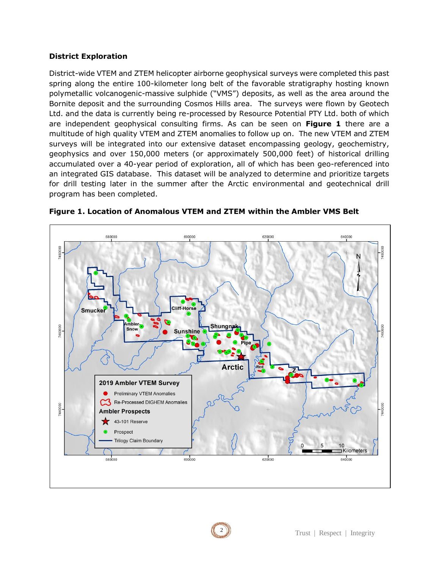#### **District Exploration**

District-wide VTEM and ZTEM helicopter airborne geophysical surveys were completed this past spring along the entire 100-kilometer long belt of the favorable stratigraphy hosting known polymetallic volcanogenic-massive sulphide ("VMS") deposits, as well as the area around the Bornite deposit and the surrounding Cosmos Hills area. The surveys were flown by Geotech Ltd. and the data is currently being re-processed by Resource Potential PTY Ltd. both of which are independent geophysical consulting firms. As can be seen on **Figure 1** there are a multitude of high quality VTEM and ZTEM anomalies to follow up on. The new VTEM and ZTEM surveys will be integrated into our extensive dataset encompassing geology, geochemistry, geophysics and over 150,000 meters (or approximately 500,000 feet) of historical drilling accumulated over a 40-year period of exploration, all of which has been geo-referenced into an integrated GIS database. This dataset will be analyzed to determine and prioritize targets for drill testing later in the summer after the Arctic environmental and geotechnical drill program has been completed.



**Figure 1. Location of Anomalous VTEM and ZTEM within the Ambler VMS Belt**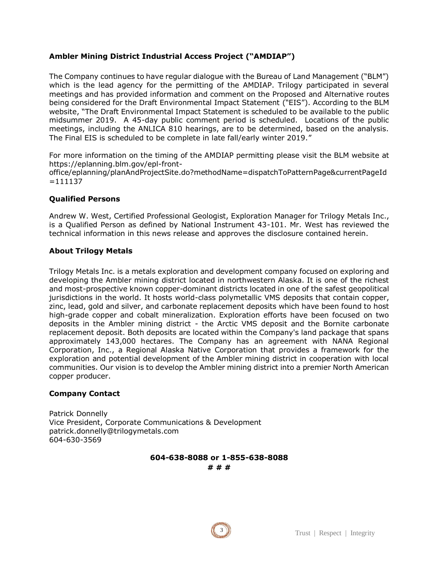# **Ambler Mining District Industrial Access Project ("AMDIAP")**

The Company continues to have regular dialogue with the Bureau of Land Management ("BLM") which is the lead agency for the permitting of the AMDIAP. Trilogy participated in several meetings and has provided information and comment on the Proposed and Alternative routes being considered for the Draft Environmental Impact Statement ("EIS"). According to the BLM website, "The Draft Environmental Impact Statement is scheduled to be available to the public midsummer 2019. A 45-day public comment period is scheduled. Locations of the public meetings, including the ANLICA 810 hearings, are to be determined, based on the analysis. The Final EIS is scheduled to be complete in late fall/early winter 2019."

For more information on the timing of the AMDIAP permitting please visit the BLM website at https://eplanning.blm.gov/epl-front-

office/eplanning/planAndProjectSite.do?methodName=dispatchToPatternPage&currentPageId =111137

#### **Qualified Persons**

Andrew W. West, Certified Professional Geologist, Exploration Manager for Trilogy Metals Inc., is a Qualified Person as defined by National Instrument 43-101. Mr. West has reviewed the technical information in this news release and approves the disclosure contained herein.

#### **About Trilogy Metals**

Trilogy Metals Inc. is a metals exploration and development company focused on exploring and developing the Ambler mining district located in northwestern Alaska. It is one of the richest and most-prospective known copper-dominant districts located in one of the safest geopolitical jurisdictions in the world. It hosts world-class polymetallic VMS deposits that contain copper, zinc, lead, gold and silver, and carbonate replacement deposits which have been found to host high-grade copper and cobalt mineralization. Exploration efforts have been focused on two deposits in the Ambler mining district - the Arctic VMS deposit and the Bornite carbonate replacement deposit. Both deposits are located within the Company's land package that spans approximately 143,000 hectares. The Company has an agreement with NANA Regional Corporation, Inc., a Regional Alaska Native Corporation that provides a framework for the exploration and potential development of the Ambler mining district in cooperation with local communities. Our vision is to develop the Ambler mining district into a premier North American copper producer.

#### **Company Contact**

Patrick Donnelly Vice President, Corporate Communications & Development patrick.donnelly@trilogymetals.com 604-630-3569

**604-638-8088 or 1-855-638-8088**

**# # #**